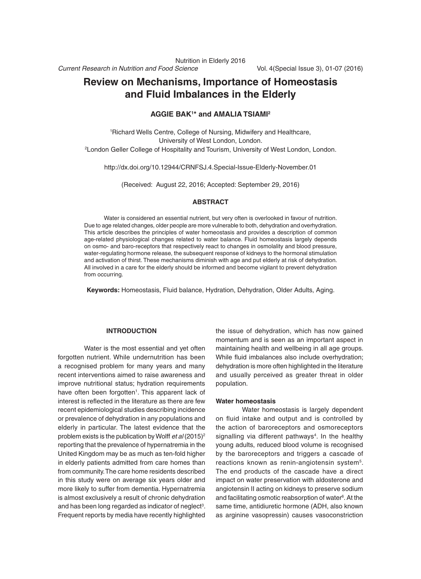# **Review on Mechanisms, Importance of Homeostasis and Fluid Imbalances in the Elderly**

## **Aggie Bak1 \* and Amalia Tsiami2**

1 Richard Wells Centre, College of Nursing, Midwifery and Healthcare, University of West London, London. 2 London Geller College of Hospitality and Tourism, University of West London, London.

http://dx.doi.org/10.12944/CRNFSJ.4.Special-Issue-Elderly-November.01

(Received: August 22, 2016; Accepted: September 29, 2016)

## **Abstract**

Water is considered an essential nutrient, but very often is overlooked in favour of nutrition. Due to age related changes, older people are more vulnerable to both, dehydration and overhydration. This article describes the principles of water homeostasis and provides a description of common age-related physiological changes related to water balance. Fluid homeostasis largely depends on osmo- and baro-receptors that respectively react to changes in osmolality and blood pressure, water-regulating hormone release, the subsequent response of kidneys to the hormonal stimulation and activation of thirst. These mechanisms diminish with age and put elderly at risk of dehydration. All involved in a care for the elderly should be informed and become vigilant to prevent dehydration from occurring.

**Keywords:** Homeostasis, Fluid balance, Hydration, Dehydration, Older Adults, Aging.

## **Introduction**

Water is the most essential and yet often forgotten nutrient. While undernutrition has been a recognised problem for many years and many recent interventions aimed to raise awareness and improve nutritional status; hydration requirements have often been forgotten<sup>1</sup>. This apparent lack of interest is reflected in the literature as there are few recent epidemiological studies describing incidence or prevalence of dehydration in any populations and elderly in particular. The latest evidence that the problem exists is the publication by Wolff *et al* (2015)2 reporting that the prevalence of hypernatremia in the United Kingdom may be as much as ten-fold higher in elderly patients admitted from care homes than from community. The care home residents described in this study were on average six years older and more likely to suffer from dementia. Hypernatremia is almost exclusively a result of chronic dehydration and has been long regarded as indicator of neglect<sup>3</sup>. Frequent reports by media have recently highlighted

the issue of dehydration, which has now gained momentum and is seen as an important aspect in maintaining health and wellbeing in all age groups. While fluid imbalances also include overhydration; dehydration is more often highlighted in the literature and usually perceived as greater threat in older population.

#### **Water homeostasis**

Water homeostasis is largely dependent on fluid intake and output and is controlled by the action of baroreceptors and osmoreceptors signalling via different pathways<sup>4</sup>. In the healthy young adults, reduced blood volume is recognised by the baroreceptors and triggers a cascade of reactions known as renin-angiotensin system5. The end products of the cascade have a direct impact on water preservation with aldosterone and angiotensin II acting on kidneys to preserve sodium and facilitating osmotic reabsorption of water<sup>6</sup>. At the same time, antidiuretic hormone (ADH, also known as arginine vasopressin) causes vasoconstriction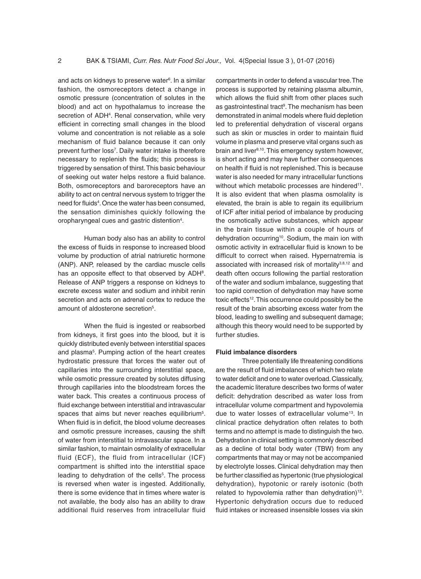and acts on kidneys to preserve water<sup>6</sup>. In a similar fashion, the osmoreceptors detect a change in osmotic pressure (concentration of solutes in the blood) and act on hypothalamus to increase the secretion of ADH<sup>4</sup>. Renal conservation, while very efficient in correcting small changes in the blood volume and concentration is not reliable as a sole mechanism of fluid balance because it can only prevent further loss<sup>7</sup>. Daily water intake is therefore necessary to replenish the fluids; this process is triggered by sensation of thirst. This basic behaviour of seeking out water helps restore a fluid balance. Both, osmoreceptors and baroreceptors have an ability to act on central nervous system to trigger the need for fluids4 . Once the water has been consumed, the sensation diminishes quickly following the oropharyngeal cues and gastric distention<sup>4</sup>.

Human body also has an ability to control the excess of fluids in response to increased blood volume by production of atrial natriuretic hormone (ANP). ANP, released by the cardiac muscle cells has an opposite effect to that observed by ADH<sup>8</sup>. Release of ANP triggers a response on kidneys to excrete excess water and sodium and inhibit renin secretion and acts on adrenal cortex to reduce the amount of aldosterone secretion<sup>5</sup>.

When the fluid is ingested or reabsorbed from kidneys, it first goes into the blood, but it is quickly distributed evenly between interstitial spaces and plasma<sup>5</sup>. Pumping action of the heart creates hydrostatic pressure that forces the water out of capillaries into the surrounding interstitial space, while osmotic pressure created by solutes diffusing through capillaries into the bloodstream forces the water back. This creates a continuous process of fluid exchange between interstitial and intravascular spaces that aims but never reaches equilibrium<sup>5</sup>. When fluid is in deficit, the blood volume decreases and osmotic pressure increases, causing the shift of water from interstitial to intravascular space. In a similar fashion, to maintain osmolality of extracellular fluid (ECF), the fluid from intracellular (ICF) compartment is shifted into the interstitial space leading to dehydration of the cells<sup>5</sup>. The process is reversed when water is ingested. Additionally, there is some evidence that in times where water is not available, the body also has an ability to draw additional fluid reserves from intracellular fluid

compartments in order to defend a vascular tree. The process is supported by retaining plasma albumin, which allows the fluid shift from other places such as gastrointestinal tract<sup>9</sup>. The mechanism has been demonstrated in animal models where fluid depletion led to preferential dehydration of visceral organs such as skin or muscles in order to maintain fluid volume in plasma and preserve vital organs such as brain and liver9,10. This emergency system however, is short acting and may have further consequences on health if fluid is not replenished. This is because water is also needed for many intracellular functions without which metabolic processes are hindered<sup>11</sup>. It is also evident that when plasma osmolality is elevated, the brain is able to regain its equilibrium of ICF after initial period of imbalance by producing the osmotically active substances, which appear in the brain tissue within a couple of hours of dehydration occurring<sup>10</sup>. Sodium, the main ion with osmotic activity in extracellular fluid is known to be difficult to correct when raised. Hypernatremia is associated with increased risk of mortality<sup>3,8,12</sup> and death often occurs following the partial restoration of the water and sodium imbalance, suggesting that too rapid correction of dehydration may have some toxic effects<sup>12</sup>. This occurrence could possibly be the result of the brain absorbing excess water from the blood, leading to swelling and subsequent damage; although this theory would need to be supported by further studies.

#### **Fluid imbalance disorders**

Three potentially life threatening conditions are the result of fluid imbalances of which two relate to water deficit and one to water overload. Classically, the academic literature describes two forms of water deficit: dehydration described as water loss from intracellular volume compartment and hypovolemia due to water losses of extracellular volume<sup>13</sup>. In clinical practice dehydration often relates to both terms and no attempt is made to distinguish the two. Dehydration in clinical setting is commonly described as a decline of total body water (TBW) from any compartments that may or may not be accompanied by electrolyte losses. Clinical dehydration may then be further classified as hypertonic (true physiological dehydration), hypotonic or rarely isotonic (both related to hypovolemia rather than dehydration)<sup>13</sup>. Hypertonic dehydration occurs due to reduced fluid intakes or increased insensible losses via skin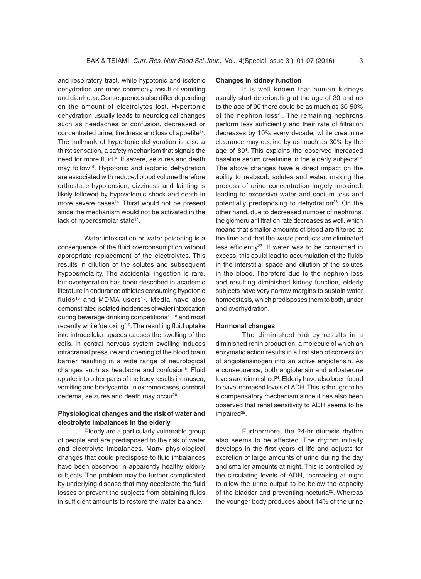and respiratory tract, while hypotonic and isotonic dehydration are more commonly result of vomiting and diarrhoea. Consequences also differ depending on the amount of electrolytes lost. Hypertonic dehydration usually leads to neurological changes such as headaches or confusion, decreased or concentrated urine, tiredness and loss of appetite<sup>14</sup>. The hallmark of hypertonic dehydration is also a thirst sensation, a safety mechanism that signals the need for more fluid<sup>14</sup>. If severe, seizures and death may follow<sup>14</sup>. Hypotonic and isotonic dehydration are associated with reduced blood volume therefore orthostatic hypotension, dizziness and fainting is likely followed by hypovolemic shock and death in more severe cases<sup>14</sup>. Thirst would not be present since the mechanism would not be activated in the lack of hyperosmolar state<sup>14</sup>.

Water intoxication or water poisoning is a consequence of the fluid overconsumption without appropriate replacement of the electrolytes. This results in dilution of the solutes and subsequent hypoosmolality. The accidental ingestion is rare, but overhydration has been described in academic literature in endurance athletes consuming hypotonic fluids<sup>15</sup> and MDMA users<sup>16</sup>. Media have also demonstrated isolated incidences of water intoxication during beverage drinking competitions<sup>17,18</sup> and most recently while 'detoxing'19. The resulting fluid uptake into intracellular spaces causes the swelling of the cells. In central nervous system swelling induces intracranial pressure and opening of the blood brain barrier resulting in a wide range of neurological changes such as headache and confusion<sup>5</sup>. Fluid uptake into other parts of the body results in nausea, vomiting and bradycardia. In extreme cases, cerebral oedema, seizures and death may occur<sup>20</sup>.

# **Physiological changes and the risk of water and electrolyte imbalances in the elderly**

Elderly are a particularly vulnerable group of people and are predisposed to the risk of water and electrolyte imbalances. Many physiological changes that could predispose to fluid imbalances have been observed in apparently healthy elderly subjects. The problem may be further complicated by underlying disease that may accelerate the fluid losses or prevent the subjects from obtaining fluids in sufficient amounts to restore the water balance.

# **Changes in kidney function**

It is well known that human kidneys usually start deteriorating at the age of 30 and up to the age of 90 there could be as much as 30-50% of the nephron loss $21$ . The remaining nephrons perform less sufficiently and their rate of filtration decreases by 10% every decade, while creatinine clearance may decline by as much as 30% by the age of 804 . This explains the observed increased baseline serum creatinine in the elderly subjects<sup>22</sup>. The above changes have a direct impact on the ability to reabsorb solutes and water, making the process of urine concentration largely impaired, leading to excessive water and sodium loss and potentially predisposing to dehydration $23$ . On the other hand, due to decreased number of nephrons, the glomerular filtration rate decreases as well, which means that smaller amounts of blood are filtered at the time and that the waste products are eliminated less efficiently<sup>23</sup>. If water was to be consumed in excess, this could lead to accumulation of the fluids in the interstitial space and dilution of the solutes in the blood. Therefore due to the nephron loss and resulting diminished kidney function, elderly subjects have very narrow margins to sustain water homeostasis, which predisposes them to both, under and overhydration.

#### **Hormonal changes**

The diminished kidney results in a diminished renin production, a molecule of which an enzymatic action results in a first step of conversion of angiotensinogen into an active angiotensin. As a consequence, both angiotensin and aldosterone levels are diminished<sup>24</sup>. Elderly have also been found to have increased levels of ADH. This is thought to be a compensatory mechanism since it has also been observed that renal sensitivity to ADH seems to be impaired<sup>25</sup>.

Furthermore, the 24-hr diuresis rhythm also seems to be affected. The rhythm initially develops in the first years of life and adjusts for excretion of large amounts of urine during the day and smaller amounts at night. This is controlled by the circulating levels of ADH, increasing at night to allow the urine output to be below the capacity of the bladder and preventing nocturia<sup>26</sup>. Whereas the younger body produces about 14% of the urine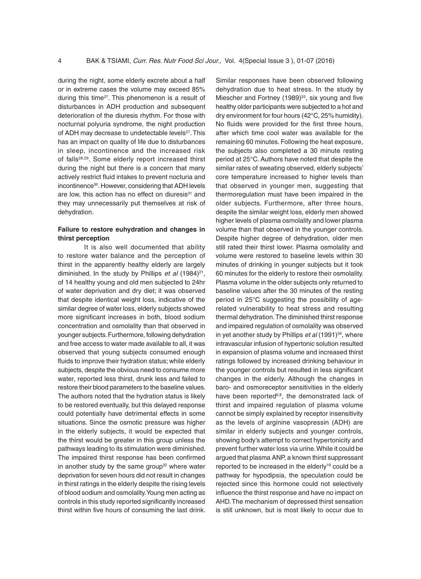during the night, some elderly excrete about a half or in extreme cases the volume may exceed 85% during this time27. This phenomenon is a result of disturbances in ADH production and subsequent deterioration of the diuresis rhythm. For those with nocturnal polyuria syndrome, the night production of ADH may decrease to undetectable levels<sup>27</sup>. This has an impact on quality of life due to disturbances in sleep, incontinence and the increased risk of falls28,29. Some elderly report increased thirst during the night but there is a concern that many actively restrict fluid intakes to prevent nocturia and incontinence<sup>30</sup>. However, considering that ADH levels are low, this action has no effect on diuresis<sup>31</sup> and they may unnecessarily put themselves at risk of dehydration.

# **Failure to restore euhydration and changes in thirst perception**

It is also well documented that ability to restore water balance and the perception of thirst in the apparently healthy elderly are largely diminished. In the study by Phillips *et al* (1984)<sup>21</sup>, of 14 healthy young and old men subjected to 24hr of water deprivation and dry diet; it was observed that despite identical weight loss, indicative of the similar degree of water loss, elderly subjects showed more significant increases in both, blood sodium concentration and osmolality than that observed in younger subjects. Furthermore, following dehydration and free access to water made available to all, it was observed that young subjects consumed enough fluids to improve their hydration status; while elderly subjects, despite the obvious need to consume more water, reported less thirst, drunk less and failed to restore their blood parameters to the baseline values. The authors noted that the hydration status is likely to be restored eventually, but this delayed response could potentially have detrimental effects in some situations. Since the osmotic pressure was higher in the elderly subjects, it would be expected that the thirst would be greater in this group unless the pathways leading to its stimulation were diminished. The impaired thirst response has been confirmed in another study by the same group<sup>32</sup> where water deprivation for seven hours did not result in changes in thirst ratings in the elderly despite the rising levels of blood sodium and osmolality. Young men acting as controls in this study reported significantly increased thirst within five hours of consuming the last drink. Similar responses have been observed following dehydration due to heat stress. In the study by Miescher and Fortney  $(1989)^{33}$ , six young and five healthy older participants were subjected to a hot and dry environment for four hours (42°C, 25% humidity). No fluids were provided for the first three hours, after which time cool water was available for the remaining 60 minutes. Following the heat exposure, the subjects also completed a 30 minute resting period at 25°C. Authors have noted that despite the similar rates of sweating observed, elderly subjects' core temperature increased to higher levels than that observed in younger men, suggesting that thermoregulation must have been impaired in the older subjects. Furthermore, after three hours, despite the similar weight loss, elderly men showed higher levels of plasma osmolality and lower plasma volume than that observed in the younger controls. Despite higher degree of dehydration, older men still rated their thirst lower. Plasma osmolality and volume were restored to baseline levels within 30 minutes of drinking in younger subjects but it took 60 minutes for the elderly to restore their osmolality. Plasma volume in the older subjects only returned to baseline values after the 30 minutes of the resting period in 25°C suggesting the possibility of agerelated vulnerability to heat stress and resulting thermal dehydration. The diminished thirst response and impaired regulation of osmolality was observed in yet another study by Phillips *et al* (1991)<sup>34</sup>, where intravascular infusion of hypertonic solution resulted in expansion of plasma volume and increased thirst ratings followed by increased drinking behaviour in the younger controls but resulted in less significant changes in the elderly. Although the changes in baro- and osmoreceptor sensitivities in the elderly have been reported<sup>6,8</sup>, the demonstrated lack of thirst and impaired regulation of plasma volume cannot be simply explained by receptor insensitivity as the levels of arginine vasopressin (ADH) are similar in elderly subjects and younger controls, showing body's attempt to correct hypertonicity and prevent further water loss via urine. While it could be argued that plasma ANP, a known thirst suppressant reported to be increased in the elderly<sup>19</sup> could be a pathway for hypodipsia, the speculation could be rejected since this hormone could not selectively influence the thirst response and have no impact on AHD. The mechanism of depressed thirst sensation is still unknown, but is most likely to occur due to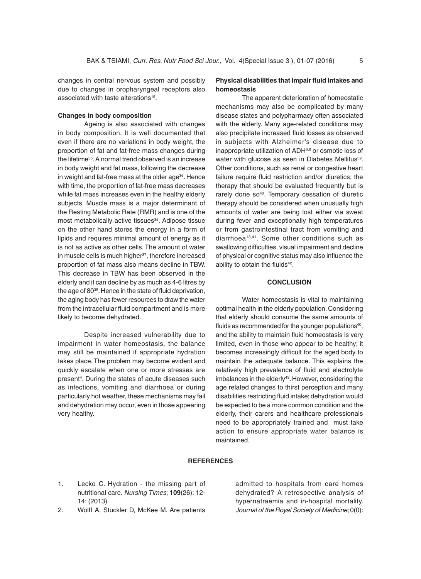changes in central nervous system and possibly due to changes in oropharyngeal receptors also associated with taste alterations19.

#### **Changes in body composition**

Ageing is also associated with changes in body composition. It is well documented that even if there are no variations in body weight, the proportion of fat and fat-free mass changes during the lifetime<sup>35</sup>. A normal trend observed is an increase in body weight and fat mass, following the decrease in weight and fat-free mass at the older age<sup>36</sup>. Hence with time, the proportion of fat-free mass decreases while fat mass increases even in the healthy elderly subjects. Muscle mass is a major determinant of the Resting Metabolic Rate (RMR) and is one of the most metabolically active tissues<sup>35</sup>. Adipose tissue on the other hand stores the energy in a form of lipids and requires minimal amount of energy as it is not as active as other cells. The amount of water in muscle cells is much higher<sup>37</sup>, therefore increased proportion of fat mass also means decline in TBW. This decrease in TBW has been observed in the elderly and it can decline by as much as 4-6 litres by the age of 80<sup>38</sup>. Hence in the state of fluid deprivation, the aging body has fewer resources to draw the water from the intracellular fluid compartment and is more likely to become dehydrated.

Despite increased vulnerability due to impairment in water homeostasis, the balance may still be maintained if appropriate hydration takes place. The problem may become evident and quickly escalate when one or more stresses are present<sup>4</sup>. During the states of acute diseases such as infections, vomiting and diarrhoea or during particularly hot weather, these mechanisms may fail and dehydration may occur, even in those appearing very healthy.

# **Physical disabilities that impair fluid intakes and homeostasis**

The apparent deterioration of homeostatic mechanisms may also be complicated by many disease states and polypharmacy often associated with the elderly. Many age-related conditions may also precipitate increased fluid losses as observed in subjects with Alzheimer's disease due to inappropriate utilization of ADH6,8 or osmotic loss of water with glucose as seen in Diabetes Mellitus<sup>39</sup>. Other conditions, such as renal or congestive heart failure require fluid restriction and/or diuretics; the therapy that should be evaluated frequently but is rarely done so<sup>40</sup>. Temporary cessation of diuretic therapy should be considered when unusually high amounts of water are being lost either via sweat during fever and exceptionally high temperatures or from gastrointestinal tract from vomiting and diarrhoea<sup>13,41</sup>. Some other conditions such as swallowing difficulties, visual impairment and decline of physical or cognitive status may also influence the ability to obtain the fluids<sup>42</sup>.

## **Conclusion**

Water homeostasis is vital to maintaining optimal health in the elderly population. Considering that elderly should consume the same amounts of fluids as recommended for the younger populations<sup>40</sup>, and the ability to maintain fluid homeostasis is very limited, even in those who appear to be healthy; it becomes increasingly difficult for the aged body to maintain the adequate balance. This explains the relatively high prevalence of fluid and electrolyte imbalances in the elderly<sup>43</sup>. However, considering the age related changes to thirst perception and many disabilities restricting fluid intake; dehydration would be expected to be a more common condition and the elderly, their carers and healthcare professionals need to be appropriately trained and must take action to ensure appropriate water balance is maintained.

## **References**

- 1. Lecko C. Hydration the missing part of nutritional care. *Nursing Times*; **109**(26): 12- 14: (2013)
- 2. Wolff A, Stuckler D, McKee M. Are patients

admitted to hospitals from care homes dehydrated? A retrospective analysis of hypernatraemia and in-hospital mortality. *Journal of the Royal Society of Medicine*; 0(0):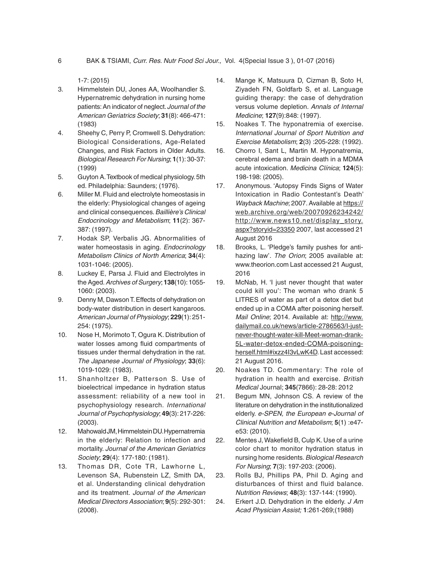1-7: (2015)

- 3. Himmelstein DU, Jones AA, Woolhandler S. Hypernatremic dehydration in nursing home patients: An indicator of neglect. *Journal of the American Geriatrics Society*; **31**(8): 466-471: (1983)
- 4. Sheehy C, Perry P, Cromwell S. Dehydration: Biological Considerations, Age-Related Changes, and Risk Factors in Older Adults. *Biological Research For Nursing*; **1**(1): 30-37: (1999)
- 5. Guyton A. Textbook of medical physiology. 5th ed. Philadelphia: Saunders; (1976).
- 6. Miller M. Fluid and electrolyte homeostasis in the elderly: Physiological changes of ageing and clinical consequences. *Baillière's Clinical Endocrinology and Metabolism*; **11**(2): 367- 387: (1997).
- 7. Hodak SP, Verbalis JG. Abnormalities of water homeostasis in aging. *Endocrinology Metabolism Clinics of North America*; **34**(4): 1031-1046: (2005).
- 8. Luckey E, Parsa J. Fluid and Electrolytes in the Aged. *Archives of Surgery*; **138**(10): 1055- 1060: (2003).
- 9. Denny M, Dawson T. Effects of dehydration on body-water distribution in desert kangaroos. *American Journal of Physiology*; **229**(1): 251- 254: (1975).
- 10. Nose H, Morimoto T, Ogura K. Distribution of water losses among fluid compartments of tissues under thermal dehydration in the rat. *The Japanese Journal of Physiology*; **33**(6): 1019-1029: (1983).
- 11. Shanholtzer B, Patterson S. Use of bioelectrical impedance in hydration status assessment: reliability of a new tool in psychophysiology research. *International Journal of Psychophysiology*; **49**(3): 217-226: (2003).
- 12. Mahowald JM, Himmelstein DU. Hypernatremia in the elderly: Relation to infection and mortality. *Journal of the American Geriatrics Society*; **29**(4): 177-180: (1981).
- 13. Thomas DR, Cote TR, Lawhorne L, Levenson SA, Rubenstein LZ, Smith DA, et al. Understanding clinical dehydration and its treatment. *Journal of the American Medical Directors Association*; **9**(5): 292-301: (2008).
- 14. Mange K, Matsuura D, Cizman B, Soto H, Ziyadeh FN, Goldfarb S, et al. Language guiding therapy: the case of dehydration versus volume depletion. *Annals of Internal Medicine*; **127**(9):848: (1997).
- 15. Noakes T. The hyponatremia of exercise. *International Journal of Sport Nutrition and Exercise Metabolism*; **2**(3) :205-228: (1992).
- 16. Chorro I, Sant L, Martin M. Hyponatremia, cerebral edema and brain death in a MDMA acute intoxication. *Medicina Clínica*; **124**(5): 198-198: (2005).
- 17. Anonymous. 'Autopsy Finds Signs of Water Intoxication in Radio Contestant's Death' *Wayback Machine*; 2007. Available at https:// web.archive.org/web/20070926234242/ http://www.news10.net/display\_story. aspx?storyid=23350 2007, last accessed 21 August 2016
- 18. Brooks, L. 'Pledge's family pushes for antihazing law'. *The Orion*; 2005 available at: www.theorion.com Last accessed 21 August, 2016
- 19. McNab, H. 'I just never thought that water could kill you': The woman who drank 5 LITRES of water as part of a detox diet but ended up in a COMA after poisoning herself. *Mail Online*; 2014. Available at: http://www. dailymail.co.uk/news/article-2786563/I-justnever-thought-water-kill-Meet-woman-drank-5L-water-detox-ended-COMA-poisoningherself.html#ixzz4I3vLwK4D. Last accessed: 21 August 2016.
- 20. Noakes TD. Commentary: The role of hydration in health and exercise. *British Medical* Journal; **345**(7866): 28-28: 2012
- 21. Begum MN, Johnson CS. A review of the literature on dehydration in the institutionalized elderly. *e-SPEN, the European e-Journal of Clinical Nutrition and Metabolism*; **5**(1) :e47 e53: (2010).
- 22. Mentes J, Wakefield B, Culp K. Use of a urine color chart to monitor hydration status in nursing home residents. *Biological Research For Nursing*; **7**(3): 197-203: (2006).
- 23. Rolls BJ, Phillips PA, Phil D. Aging and disturbances of thirst and fluid balance. *Nutrition Reviews*; **48**(3): 137-144: (1990).
- 24. Erkert J.D. Dehydration in the elderly. *J Am Acad Physician Assist;* **1**:261-269;(1988)